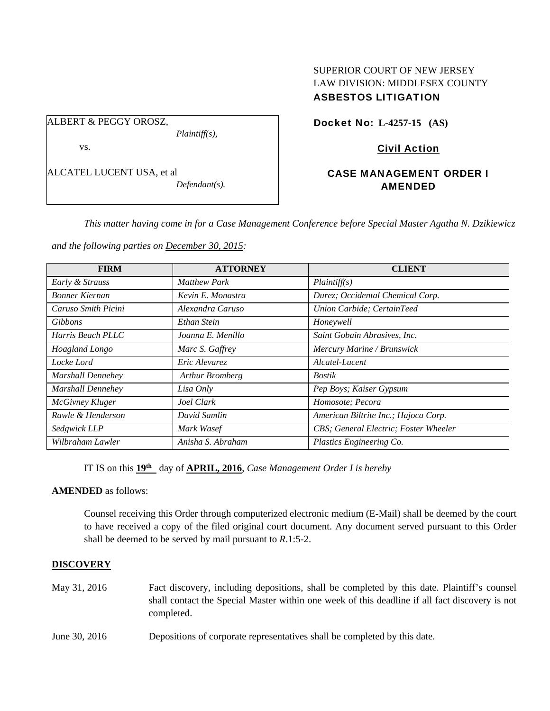## SUPERIOR COURT OF NEW JERSEY LAW DIVISION: MIDDLESEX COUNTY ASBESTOS LITIGATION

ALBERT & PEGGY OROSZ,

vs.

ALCATEL LUCENT USA, et al

*Defendant(s).* 

*Plaintiff(s),* 

Docket No: **L-4257-15 (AS)** 

Civil Action

# CASE MANAGEMENT ORDER I AMENDED

*This matter having come in for a Case Management Conference before Special Master Agatha N. Dzikiewicz* 

*and the following parties on December 30, 2015:* 

| <b>FIRM</b>              | <b>ATTORNEY</b>     | <b>CLIENT</b>                         |
|--------------------------|---------------------|---------------------------------------|
| Early & Strauss          | <b>Matthew Park</b> | Plaintiff(s)                          |
| <b>Bonner Kiernan</b>    | Kevin E. Monastra   | Durez; Occidental Chemical Corp.      |
| Caruso Smith Picini      | Alexandra Caruso    | Union Carbide; CertainTeed            |
| <b>Gibbons</b>           | Ethan Stein         | Honeywell                             |
| Harris Beach PLLC        | Joanna E. Menillo   | Saint Gobain Abrasives, Inc.          |
| Hoagland Longo           | Marc S. Gaffrey     | Mercury Marine / Brunswick            |
| Locke Lord               | Eric Alevarez       | Alcatel-Lucent                        |
| <b>Marshall Dennehey</b> | Arthur Bromberg     | <b>Bostik</b>                         |
| <b>Marshall Dennehey</b> | Lisa Only           | Pep Boys; Kaiser Gypsum               |
| McGivney Kluger          | Joel Clark          | Homosote; Pecora                      |
| Rawle & Henderson        | David Samlin        | American Biltrite Inc.; Hajoca Corp.  |
| Sedgwick LLP             | Mark Wasef          | CBS; General Electric; Foster Wheeler |
| Wilbraham Lawler         | Anisha S. Abraham   | Plastics Engineering Co.              |

IT IS on this **19th** day of **APRIL, 2016**, *Case Management Order I is hereby*

## **AMENDED** as follows:

Counsel receiving this Order through computerized electronic medium (E-Mail) shall be deemed by the court to have received a copy of the filed original court document. Any document served pursuant to this Order shall be deemed to be served by mail pursuant to *R*.1:5-2.

## **DISCOVERY**

- May 31, 2016 Fact discovery, including depositions, shall be completed by this date. Plaintiff's counsel shall contact the Special Master within one week of this deadline if all fact discovery is not completed.
- June 30, 2016 Depositions of corporate representatives shall be completed by this date.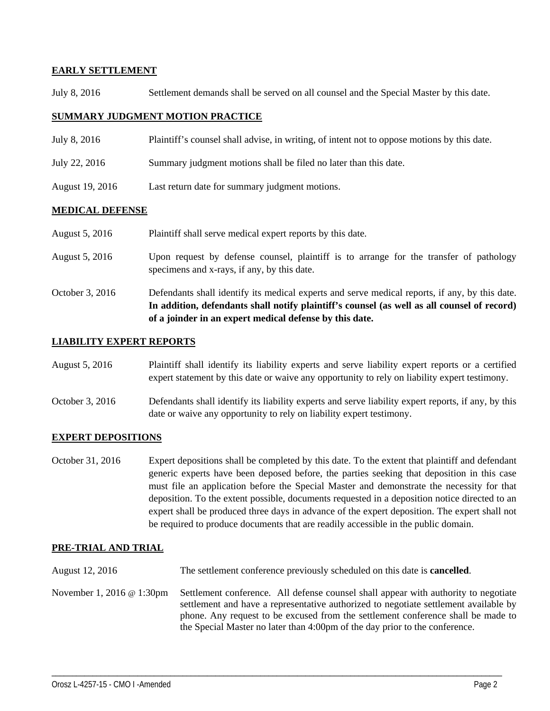## **EARLY SETTLEMENT**

July 8, 2016 Settlement demands shall be served on all counsel and the Special Master by this date.

## **SUMMARY JUDGMENT MOTION PRACTICE**

- July 8, 2016 Plaintiff's counsel shall advise, in writing, of intent not to oppose motions by this date.
- July 22, 2016 Summary judgment motions shall be filed no later than this date.
- August 19, 2016 Last return date for summary judgment motions.

## **MEDICAL DEFENSE**

| August 5, 2016  | Plaintiff shall serve medical expert reports by this date.                                                                                                                                                                                               |
|-----------------|----------------------------------------------------------------------------------------------------------------------------------------------------------------------------------------------------------------------------------------------------------|
| August 5, 2016  | Upon request by defense counsel, plaintiff is to arrange for the transfer of pathology<br>specimens and x-rays, if any, by this date.                                                                                                                    |
| October 3, 2016 | Defendants shall identify its medical experts and serve medical reports, if any, by this date.<br>In addition, defendants shall notify plaintiff's counsel (as well as all counsel of record)<br>of a joinder in an expert medical defense by this date. |

## **LIABILITY EXPERT REPORTS**

| August 5, 2016 | Plaintiff shall identify its liability experts and serve liability expert reports or a certified |
|----------------|--------------------------------------------------------------------------------------------------|
|                | expert statement by this date or waive any opportunity to rely on liability expert testimony.    |

October 3, 2016 Defendants shall identify its liability experts and serve liability expert reports, if any, by this date or waive any opportunity to rely on liability expert testimony.

## **EXPERT DEPOSITIONS**

October 31, 2016 Expert depositions shall be completed by this date. To the extent that plaintiff and defendant generic experts have been deposed before, the parties seeking that deposition in this case must file an application before the Special Master and demonstrate the necessity for that deposition. To the extent possible, documents requested in a deposition notice directed to an expert shall be produced three days in advance of the expert deposition. The expert shall not be required to produce documents that are readily accessible in the public domain.

## **PRE-TRIAL AND TRIAL**

- August 12, 2016 The settlement conference previously scheduled on this date is **cancelled**.
- November 1, 2016 @ 1:30pm Settlement conference. All defense counsel shall appear with authority to negotiate settlement and have a representative authorized to negotiate settlement available by phone. Any request to be excused from the settlement conference shall be made to the Special Master no later than 4:00pm of the day prior to the conference.

\_\_\_\_\_\_\_\_\_\_\_\_\_\_\_\_\_\_\_\_\_\_\_\_\_\_\_\_\_\_\_\_\_\_\_\_\_\_\_\_\_\_\_\_\_\_\_\_\_\_\_\_\_\_\_\_\_\_\_\_\_\_\_\_\_\_\_\_\_\_\_\_\_\_\_\_\_\_\_\_\_\_\_\_\_\_\_\_\_\_\_\_\_\_\_\_\_\_\_\_\_\_\_\_\_\_\_\_\_\_